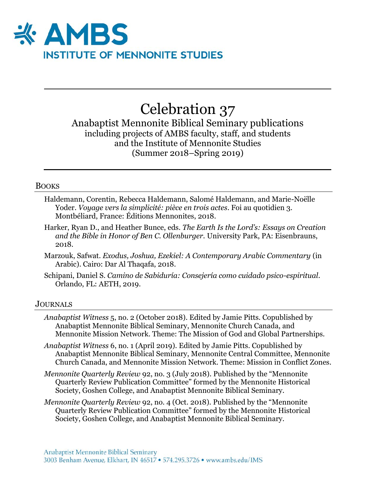

# Celebration 37

Anabaptist Mennonite Biblical Seminary publications including projects of AMBS faculty, staff, and students and the Institute of Mennonite Studies (Summer 2018–Spring 2019)

#### BOOKS

- Haldemann, Corentin, Rebecca Haldemann, Salomé Haldemann, and Marie-Noëlle Yoder. *Voyage vers la simplicité: pièce en trois actes*. Foi au quotidien 3. Montbéliard, France: Éditions Mennonites, 2018.
- Harker, Ryan D., and Heather Bunce, eds. *The Earth Is the Lord's: Essays on Creation and the Bible in Honor of Ben C. Ollenburger.* University Park, PA: Eisenbrauns, 2018.
- Marzouk, Safwat. *Exodus, Joshua, Ezekiel: A Contemporary Arabic Commentary* (in Arabic). Cairo: Dar Al Thaqafa, 2018.
- Schipani, Daniel S. *Camino de Sabiduría: Consejería como cuidado psico-espiritual*. Orlando, FL: AETH, 2019.

#### **JOURNALS**

- *Anabaptist Witness* 5, no. 2 (October 2018). Edited by Jamie Pitts. Copublished by Anabaptist Mennonite Biblical Seminary, Mennonite Church Canada, and Mennonite Mission Network. Theme: The Mission of God and Global Partnerships.
- *Anabaptist Witness* 6, no. 1 (April 2019). Edited by Jamie Pitts. Copublished by Anabaptist Mennonite Biblical Seminary, Mennonite Central Committee, Mennonite Church Canada, and Mennonite Mission Network. Theme: Mission in Conflict Zones.
- *Mennonite Quarterly Review* 92, no. 3 (July 2018). Published by the "Mennonite Quarterly Review Publication Committee" formed by the Mennonite Historical Society, Goshen College, and Anabaptist Mennonite Biblical Seminary.
- *Mennonite Quarterly Review* 92, no. 4 (Oct. 2018). Published by the "Mennonite Quarterly Review Publication Committee" formed by the Mennonite Historical Society, Goshen College, and Anabaptist Mennonite Biblical Seminary.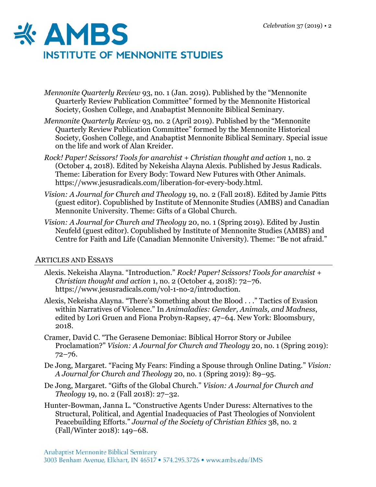

- *Mennonite Quarterly Review* 93, no. 1 (Jan. 2019). Published by the "Mennonite Quarterly Review Publication Committee" formed by the Mennonite Historical Society, Goshen College, and Anabaptist Mennonite Biblical Seminary.
- *Mennonite Quarterly Review* 93, no. 2 (April 2019). Published by the "Mennonite Quarterly Review Publication Committee" formed by the Mennonite Historical Society, Goshen College, and Anabaptist Mennonite Biblical Seminary. Special issue on the life and work of Alan Kreider.
- *Rock! Paper! Scissors! Tools for anarchist + Christian thought and action* 1, no. 2 (October 4, 2018). Edited by Nekeisha Alayna Alexis. Published by Jesus Radicals. Theme: Liberation for Every Body: Toward New Futures with Other Animals. https://www.jesusradicals.com/liberation-for-every-body.html.
- *Vision: A Journal for Church and Theology* 19, no. 2 (Fall 2018). Edited by Jamie Pitts (guest editor). Copublished by Institute of Mennonite Studies (AMBS) and Canadian Mennonite University. Theme: [Gifts](http://press.palni.org/ojs/index.php/vision/issue/view/18-2) of a Global Church.
- *Vision: A Journal for Church and Theology* 20, no. 1 (Spring 2019). Edited by Justin Neufeld (guest editor). Copublished by Institute of Mennonite Studies (AMBS) and Centre for Faith and Life (Canadian Mennonite University). Theme: "Be not afraid."

## ARTICLES AND ESSAYS

- Alexis. Nekeisha Alayna. "Introduction." *Rock! Paper! Scissors! Tools for anarchist + Christian thought and action* 1, no. 2 (October 4, 2018): 72–76. https://www.jesusradicals.com/vol-1-no-2/introduction.
- Alexis, Nekeisha Alayna. "There's Something about the Blood . . ." Tactics of Evasion within Narratives of Violence." In *Animaladies: Gender, Animals, and Madness*, edited by Lori Gruen and Fiona Probyn-Rapsey, 47–64. New York: Bloomsbury, 2018.
- Cramer, David C. "The Gerasene Demoniac: Biblical Horror Story or Jubilee Proclamation?" *Vision: A Journal for Church and Theology* 20, no. 1 (Spring 2019): 72–76.
- De Jong, Margaret. "Facing My Fears: Finding a Spouse through Online Dating." *Vision: A Journal for Church and Theology* 20, no. 1 (Spring 2019): 89–95.
- De Jong, Margaret. "Gifts of the Global Church." *Vision: A Journal for Church and Theology* 19, no. 2 (Fall 2018): 27–32.
- Hunter-Bowman, Janna L. "Constructive Agents Under Duress: Alternatives to the Structural, Political, and Agential Inadequacies of Past Theologies of Nonviolent Peacebuilding Efforts." *Journal of the Society of Christian Ethics* 38, no. 2 (Fall/Winter 2018): 149–68.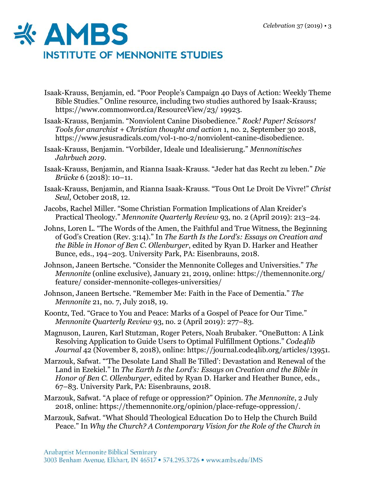

- Isaak-Krauss, Benjamin, ed. "Poor People's Campaign 40 Days of Action: Weekly Theme Bible Studies." Online resource, including two studies authored by Isaak-Krauss; https://www.commonword.ca/ResourceView/23/ 19923.
- Isaak-Krauss, Benjamin. "Nonviolent Canine Disobedience." *Rock! Paper! Scissors! Tools for anarchist + Christian thought and action* 1, no. 2, September 30 2018, https://www.jesusradicals.com/vol-1-no-2/nonviolent-canine-disobedience.
- Isaak-Krauss, Benjamin. "Vorbilder, Ideale und Idealisierung." *Mennonitisches Jahrbuch 2019*.
- Isaak-Krauss, Benjamin, and Rianna Isaak-Krauss. "Jeder hat das Recht zu leben." *Die Brücke* 6 (2018): 10–11.
- Isaak-Krauss, Benjamin, and Rianna Isaak-Krauss. "Tous Ont Le Droit De Vivre!" *Christ Seul*, October 2018, 12.
- Jacobs, Rachel Miller. "Some Christian Formation Implications of Alan Kreider's Practical Theology." *Mennonite Quarterly Review* 93, no. 2 (April 2019): 213–24.
- Johns, Loren L. "The Words of the Amen, the Faithful and True Witness, the Beginning of God's Creation (Rev. 3:14)." In *The Earth Is the Lord's: Essays on Creation and the Bible in Honor of Ben C. Ollenburger*, edited by Ryan D. Harker and Heather Bunce, eds., 194–203. University Park, PA: Eisenbrauns, 2018.
- Johnson, Janeen Bertsche. "Consider the Mennonite Colleges and Universities." *The Mennonite* (online exclusive), January 21, 2019, online: https://themennonite.org/ feature/ consider-mennonite-colleges-universities/
- Johnson, Janeen Bertsche. "Remember Me: Faith in the Face of Dementia." *The Mennonite* 21, no. 7, July 2018, 19.
- Koontz, Ted. "Grace to You and Peace: Marks of a Gospel of Peace for Our Time." *Mennonite Quarterly Review* 93, no. 2 (April 2019): 277–83.
- Magnuson, Lauren, Karl Stutzman, Roger Peters, Noah Brubaker. "OneButton: A Link Resolving Application to Guide Users to Optimal Fulfillment Options." *Code4lib Journal* 42 (November 8, 2018), online: https://journal.code4lib.org/articles/13951.
- Marzouk, Safwat. "'The Desolate Land Shall Be Tilled': Devastation and Renewal of the Land in Ezekiel." In *The Earth Is the Lord's: Essays on Creation and the Bible in Honor of Ben C. Ollenburger*, edited by Ryan D. Harker and Heather Bunce, eds., 67–83. University Park, PA: Eisenbrauns, 2018.
- Marzouk, Safwat. "A place of refuge or oppression?" Opinion. *The Mennonite*, 2 July 2018, online: https://themennonite.org/opinion/place-refuge-oppression/.
- Marzouk, Safwat. "What Should Theological Education Do to Help the Church Build Peace." In *Why the Church? A Contemporary Vision for the Role of the Church in*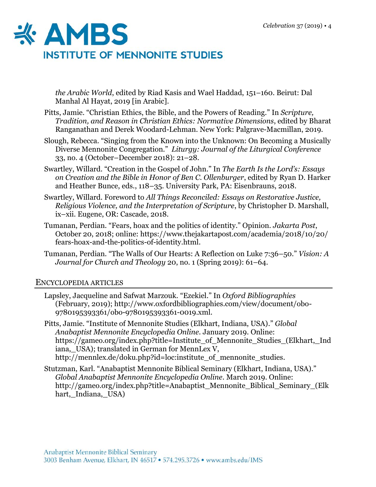

*the Arabic World*, edited by Riad Kasis and Wael Haddad, 151–160. Beirut: Dal Manhal Al Hayat, 2019 [in Arabic].

- Pitts, Jamie. "Christian Ethics, the Bible, and the Powers of Reading." In *Scripture, Tradition, and Reason in Christian Ethics: Normative Dimensions*, edited by Bharat Ranganathan and Derek Woodard-Lehman. New York: Palgrave-Macmillan, 2019.
- Slough, Rebecca. "Singing from the Known into the Unknown: On Becoming a Musically Diverse Mennonite Congregation." *Liturgy: Journal of the Liturgical Conference* 33, no. 4 (October–December 2018): 21–28.
- Swartley, Willard. "Creation in the Gospel of John." In *The Earth Is the Lord's: Essays on Creation and the Bible in Honor of Ben C. Ollenburger*, edited by Ryan D. Harker and Heather Bunce, eds., 118–35. University Park, PA: Eisenbrauns, 2018.
- Swartley, Willard. Foreword to *All Things Reconciled: Essays on Restorative Justice, Religious Violence, and the Interpretation of Scripture*, by Christopher D. Marshall, ix–xii. Eugene, OR: Cascade, 2018.
- Tumanan, Perdian. "Fears, hoax and the politics of identity." Opinion. *Jakarta Post*, October 20, 2018; online: https://www.thejakartapost.com/academia/2018/10/20/ fears-hoax-and-the-politics-of-identity.html.
- Tumanan, Perdian. "The Walls of Our Hearts: A Reflection on Luke 7:36–50." *Vision: A Journal for Church and Theology* 20, no. 1 (Spring 2019): 61–64.

## ENCYCLOPEDIA ARTICLES

- Lapsley, Jacqueline and Safwat Marzouk. "Ezekiel." In *Oxford Bibliographies* (February, 2019); http://www.oxfordbibliographies.com/view/document/obo-9780195393361/obo-9780195393361-0019.xml.
- Pitts, Jamie. "Institute of Mennonite Studies (Elkhart, Indiana, USA)." *Global Anabaptist Mennonite Encyclopedia Online*. January 2019. Online: https://gameo.org/index.php?title=Institute\_of\_Mennonite\_Studies\_(Elkhart,\_Ind iana, USA); translated in German for MennLex V, http://mennlex.de/doku.php?id=loc:institute of mennonite studies.
- Stutzman, Karl. "Anabaptist Mennonite Biblical Seminary (Elkhart, Indiana, USA)." *Global Anabaptist Mennonite Encyclopedia Online*. March 2019. Online: http://gameo.org/index.php?title=Anabaptist\_Mennonite\_Biblical\_Seminary\_(Elk hart, Indiana, USA)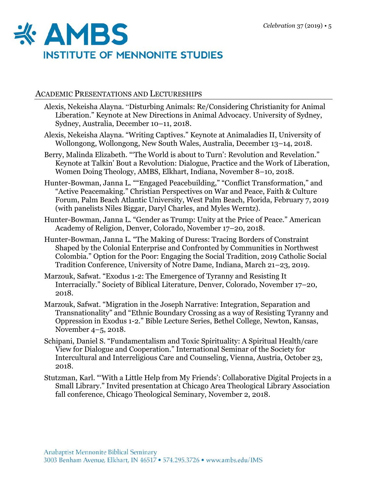

#### ACADEMIC PRESENTATIONS AND LECTURESHIPS

- Alexis, Nekeisha Alayna. "Disturbing Animals: Re/Considering Christianity for Animal Liberation." Keynote at New Directions in Animal Advocacy. University of Sydney, Sydney, Australia, December 10–11, 2018.
- Alexis, Nekeisha Alayna. "Writing Captives." Keynote at Animaladies II, University of Wollongong, Wollongong, New South Wales, Australia, December 13–14, 2018.
- Berry, Malinda Elizabeth. "The World is about to Turn': Revolution and Revelation." Keynote at Talkin' Bout a Revolution: Dialogue, Practice and the Work of Liberation, Women Doing Theology, AMBS, Elkhart, Indiana, November 8–10, 2018.
- Hunter-Bowman, Janna L. ""Engaged Peacebuilding," "Conflict Transformation," and "Active Peacemaking." Christian Perspectives on War and Peace, Faith & Culture Forum, Palm Beach Atlantic University, West Palm Beach, Florida, February 7, 2019 (with panelists Niles Biggar, Daryl Charles, and Myles Werntz).
- Hunter-Bowman, Janna L. "Gender as Trump: Unity at the Price of Peace." American Academy of Religion, Denver, Colorado, November 17–20, 2018.
- Hunter-Bowman, Janna L. "The Making of Duress: Tracing Borders of Constraint Shaped by the Colonial Enterprise and Confronted by Communities in Northwest Colombia." Option for the Poor: Engaging the Social Tradition, 2019 Catholic Social Tradition Conference, University of Notre Dame, Indiana, March 21–23, 2019.
- Marzouk, Safwat. "Exodus 1-2: The Emergence of Tyranny and Resisting It Interracially." Society of Biblical Literature, Denver, Colorado, November 17–20, 2018.
- Marzouk, Safwat. "Migration in the Joseph Narrative: Integration, Separation and Transnationality" and "Ethnic Boundary Crossing as a way of Resisting Tyranny and Oppression in Exodus 1-2." Bible Lecture Series, Bethel College, Newton, Kansas, November 4–5, 2018.
- Schipani, Daniel S. "Fundamentalism and Toxic Spirituality: A Spiritual Health/care View for Dialogue and Cooperation." International Seminar of the Society for Intercultural and Interreligious Care and Counseling, Vienna, Austria, October 23, 2018.
- Stutzman, Karl. "'With a Little Help from My Friends': Collaborative Digital Projects in a Small Library." Invited presentation at Chicago Area Theological Library Association fall conference, Chicago Theological Seminary, November 2, 2018.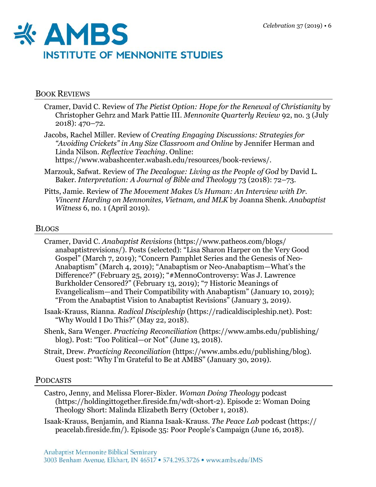

## BOOK REVIEWS

- Cramer, David C. Review of *The Pietist Option: Hope for the Renewal of Christianity* by Christopher Gehrz and Mark Pattie III. *Mennonite Quarterly Review* 92, no. 3 (July 2018): 470–72.
- Jacobs, Rachel Miller. Review of *Creating Engaging Discussions: Strategies for "Avoiding Crickets" in Any Size Classroom and Online* by Jennifer Herman and Linda Nilson. *Reflective Teaching*. Online:

https://www.wabashcenter.wabash.edu/resources/book-reviews/.

- Marzouk, Safwat. Review of *The Decalogue: Living as the People of God* by David L. Baker. *Interpretation: A Journal of Bible and Theology* 73 (2018): 72–73.
- Pitts, Jamie. Review of *The Movement Makes Us Human: An Interview with Dr. Vincent Harding on Mennonites, Vietnam, and MLK* by Joanna Shenk. *Anabaptist Witness* 6, no. 1 (April 2019).

## BLOGS

- Cramer, David C. *Anabaptist Revisions* (https://www.patheos.com/blogs/ anabaptistrevisions/). Posts (selected): "Lisa Sharon Harper on the Very Good Gospel" (March 7, 2019); "Concern Pamphlet Series and the Genesis of Neo-Anabaptism" (March 4, 2019); "Anabaptism or Neo-Anabaptism—What's the Difference?" (February 25, 2019); "#MennoControversy: Was J. Lawrence Burkholder Censored?" (February 13, 2019); "7 Historic Meanings of Evangelicalism—and Their Compatibility with Anabaptism" (January 10, 2019); "From the Anabaptist Vision to Anabaptist Revisions" (January 3, 2019).
- Isaak-Krauss, Rianna. *Radical Discipleship* (https://radicaldiscipleship.net). Post: "Why Would I Do This?" (May 22, 2018).
- Shenk, Sara Wenger. *Practicing Reconciliation* (https://www.ambs.edu/publishing/ blog). Post: "Too Political—or Not" (June 13, 2018).
- Strait, Drew. *Practicing Reconciliation* (https://www.ambs.edu/publishing/blog). Guest post: "Why I'm Grateful to Be at AMBS" (January 30, 2019).

## PODCASTS

- Castro, Jenny, and Melissa Florer-Bixler. *Woman Doing Theology* podcast (https://holdingittogether.fireside.fm/wdt-short-2). Episode 2: Woman Doing Theology Short: Malinda Elizabeth Berry (October 1, 2018).
- Isaak-Krauss, Benjamin, and Rianna Isaak-Krauss. *The Peace Lab* podcast (https:// peacelab.fireside.fm/). Episode 35: Poor People's Campaign (June 16, 2018).